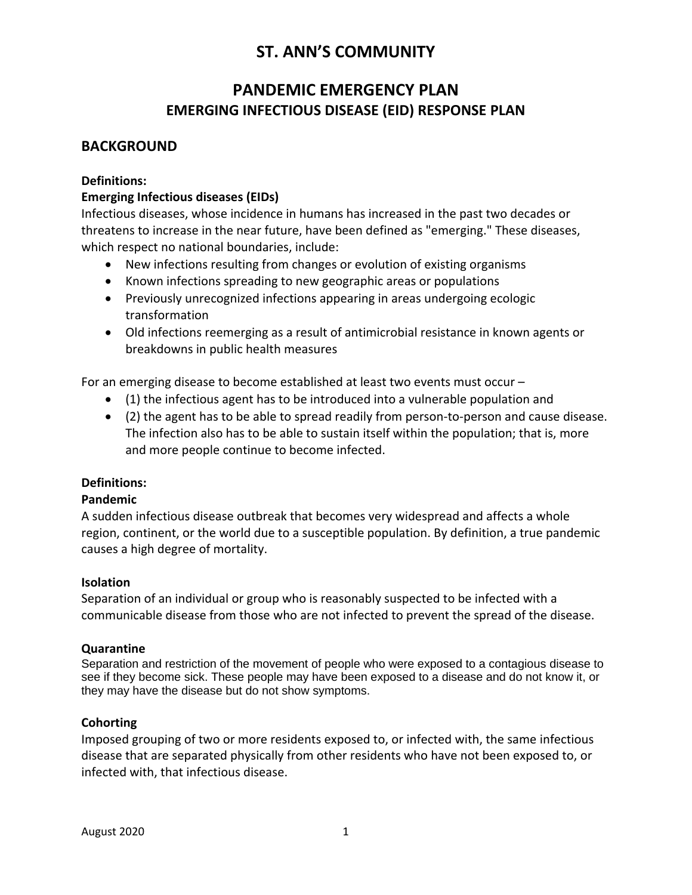### **PANDEMIC EMERGENCY PLAN EMERGING INFECTIOUS DISEASE (EID) RESPONSE PLAN**

### **BACKGROUND**

#### **Definitions:**

#### **Emerging Infectious diseases (EIDs)**

Infectious diseases, whose incidence in humans has increased in the past two decades or threatens to increase in the near future, have been defined as "emerging." These diseases, which respect no national boundaries, include:

- New infections resulting from changes or evolution of existing organisms
- Known infections spreading to new geographic areas or populations
- Previously unrecognized infections appearing in areas undergoing ecologic transformation
- Old infections reemerging as a result of antimicrobial resistance in known agents or breakdowns in public health measures

For an emerging disease to become established at least two events must occur –

- (1) the infectious agent has to be introduced into a vulnerable population and
- (2) the agent has to be able to spread readily from person-to-person and cause disease. The infection also has to be able to sustain itself within the population; that is, more and more people continue to become infected.

#### **Definitions:**

#### **Pandemic**

A sudden infectious disease outbreak that becomes very widespread and affects a whole region, continent, or the world due to a susceptible population. By definition, a true pandemic causes a high degree of mortality.

#### **Isolation**

Separation of an individual or group who is reasonably suspected to be infected with a communicable disease from those who are not infected to prevent the spread of the disease.

#### **Quarantine**

Separation and restriction of the movement of people who were exposed to a contagious disease to see if they become sick. These people may have been exposed to a disease and do not know it, or they may have the disease but do not show symptoms.

#### **Cohorting**

Imposed grouping of two or more residents exposed to, or infected with, the same infectious disease that are separated physically from other residents who have not been exposed to, or infected with, that infectious disease.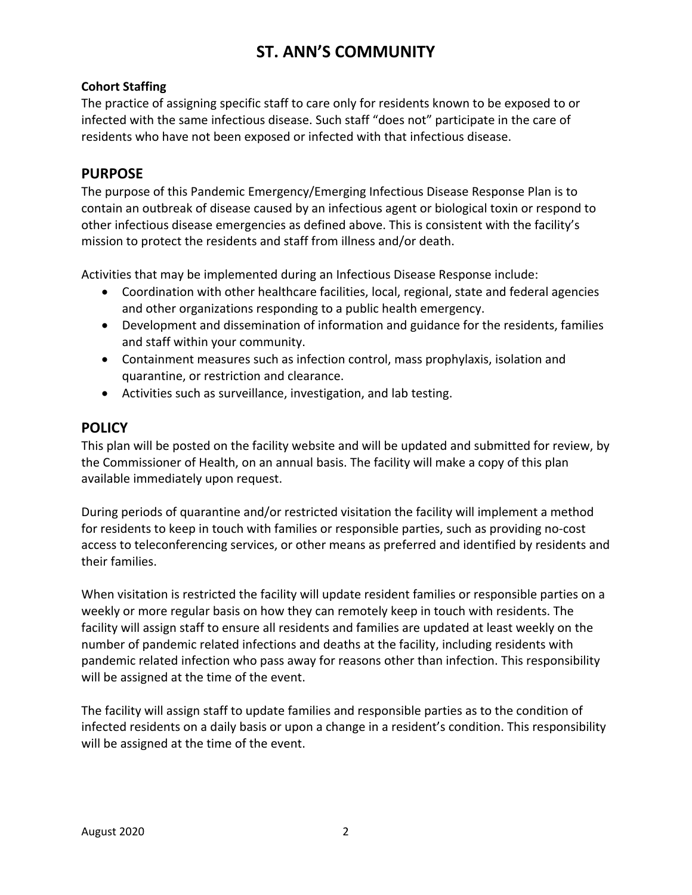#### **Cohort Staffing**

The practice of assigning specific staff to care only for residents known to be exposed to or infected with the same infectious disease. Such staff "does not" participate in the care of residents who have not been exposed or infected with that infectious disease.

### **PURPOSE**

The purpose of this Pandemic Emergency/Emerging Infectious Disease Response Plan is to contain an outbreak of disease caused by an infectious agent or biological toxin or respond to other infectious disease emergencies as defined above. This is consistent with the facility's mission to protect the residents and staff from illness and/or death.

Activities that may be implemented during an Infectious Disease Response include:

- Coordination with other healthcare facilities, local, regional, state and federal agencies and other organizations responding to a public health emergency.
- Development and dissemination of information and guidance for the residents, families and staff within your community.
- Containment measures such as infection control, mass prophylaxis, isolation and quarantine, or restriction and clearance.
- Activities such as surveillance, investigation, and lab testing.

### **POLICY**

This plan will be posted on the facility website and will be updated and submitted for review, by the Commissioner of Health, on an annual basis. The facility will make a copy of this plan available immediately upon request.

During periods of quarantine and/or restricted visitation the facility will implement a method for residents to keep in touch with families or responsible parties, such as providing no-cost access to teleconferencing services, or other means as preferred and identified by residents and their families.

When visitation is restricted the facility will update resident families or responsible parties on a weekly or more regular basis on how they can remotely keep in touch with residents. The facility will assign staff to ensure all residents and families are updated at least weekly on the number of pandemic related infections and deaths at the facility, including residents with pandemic related infection who pass away for reasons other than infection. This responsibility will be assigned at the time of the event.

The facility will assign staff to update families and responsible parties as to the condition of infected residents on a daily basis or upon a change in a resident's condition. This responsibility will be assigned at the time of the event.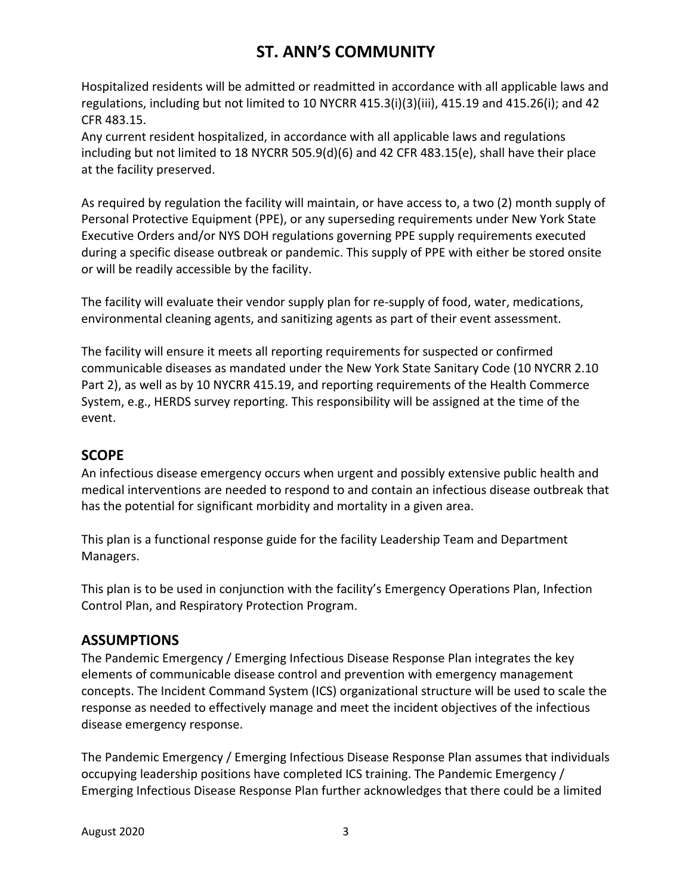Hospitalized residents will be admitted or readmitted in accordance with all applicable laws and regulations, including but not limited to 10 NYCRR 415.3(i)(3)(iii), 415.19 and 415.26(i); and 42 CFR 483.15.

Any current resident hospitalized, in accordance with all applicable laws and regulations including but not limited to 18 NYCRR 505.9(d)(6) and 42 CFR 483.15(e), shall have their place at the facility preserved.

As required by regulation the facility will maintain, or have access to, a two (2) month supply of Personal Protective Equipment (PPE), or any superseding requirements under New York State Executive Orders and/or NYS DOH regulations governing PPE supply requirements executed during a specific disease outbreak or pandemic. This supply of PPE with either be stored onsite or will be readily accessible by the facility.

The facility will evaluate their vendor supply plan for re-supply of food, water, medications, environmental cleaning agents, and sanitizing agents as part of their event assessment.

The facility will ensure it meets all reporting requirements for suspected or confirmed communicable diseases as mandated under the New York State Sanitary Code (10 NYCRR 2.10 Part 2), as well as by 10 NYCRR 415.19, and reporting requirements of the Health Commerce System, e.g., HERDS survey reporting. This responsibility will be assigned at the time of the event.

### **SCOPE**

An infectious disease emergency occurs when urgent and possibly extensive public health and medical interventions are needed to respond to and contain an infectious disease outbreak that has the potential for significant morbidity and mortality in a given area.

This plan is a functional response guide for the facility Leadership Team and Department Managers.

This plan is to be used in conjunction with the facility's Emergency Operations Plan, Infection Control Plan, and Respiratory Protection Program.

### **ASSUMPTIONS**

The Pandemic Emergency / Emerging Infectious Disease Response Plan integrates the key elements of communicable disease control and prevention with emergency management concepts. The Incident Command System (ICS) organizational structure will be used to scale the response as needed to effectively manage and meet the incident objectives of the infectious disease emergency response.

The Pandemic Emergency / Emerging Infectious Disease Response Plan assumes that individuals occupying leadership positions have completed ICS training. The Pandemic Emergency / Emerging Infectious Disease Response Plan further acknowledges that there could be a limited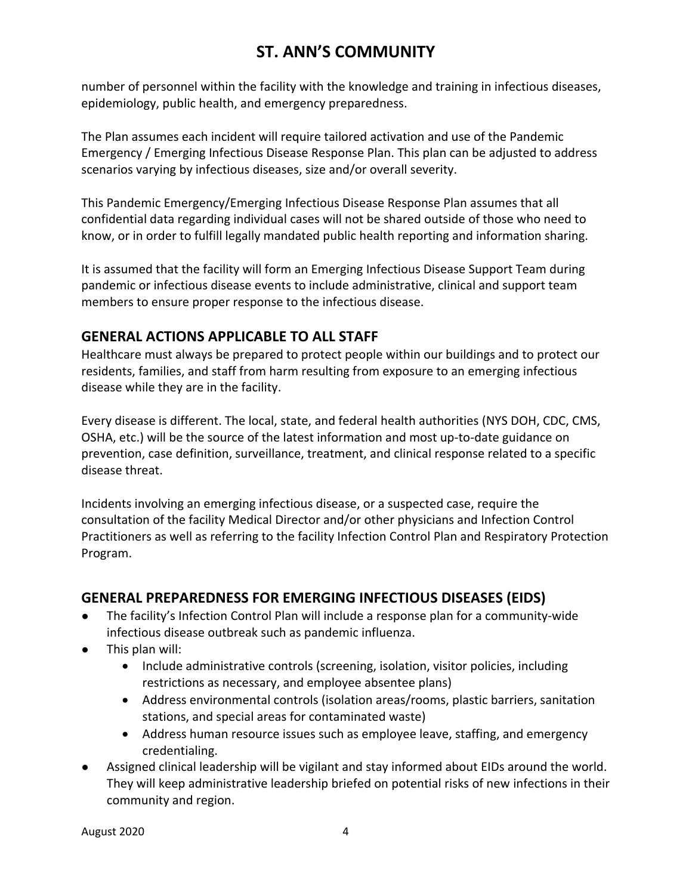number of personnel within the facility with the knowledge and training in infectious diseases, epidemiology, public health, and emergency preparedness.

The Plan assumes each incident will require tailored activation and use of the Pandemic Emergency / Emerging Infectious Disease Response Plan. This plan can be adjusted to address scenarios varying by infectious diseases, size and/or overall severity.

This Pandemic Emergency/Emerging Infectious Disease Response Plan assumes that all confidential data regarding individual cases will not be shared outside of those who need to know, or in order to fulfill legally mandated public health reporting and information sharing.

It is assumed that the facility will form an Emerging Infectious Disease Support Team during pandemic or infectious disease events to include administrative, clinical and support team members to ensure proper response to the infectious disease.

### **GENERAL ACTIONS APPLICABLE TO ALL STAFF**

Healthcare must always be prepared to protect people within our buildings and to protect our residents, families, and staff from harm resulting from exposure to an emerging infectious disease while they are in the facility.

Every disease is different. The local, state, and federal health authorities (NYS DOH, CDC, CMS, OSHA, etc.) will be the source of the latest information and most up-to-date guidance on prevention, case definition, surveillance, treatment, and clinical response related to a specific disease threat.

Incidents involving an emerging infectious disease, or a suspected case, require the consultation of the facility Medical Director and/or other physicians and Infection Control Practitioners as well as referring to the facility Infection Control Plan and Respiratory Protection Program.

### **GENERAL PREPAREDNESS FOR EMERGING INFECTIOUS DISEASES (EIDS)**

- The facility's Infection Control Plan will include a response plan for a community-wide infectious disease outbreak such as pandemic influenza.
- This plan will:
	- Include administrative controls (screening, isolation, visitor policies, including restrictions as necessary, and employee absentee plans)
	- Address environmental controls (isolation areas/rooms, plastic barriers, sanitation stations, and special areas for contaminated waste)
	- Address human resource issues such as employee leave, staffing, and emergency credentialing.
- Assigned clinical leadership will be vigilant and stay informed about EIDs around the world. They will keep administrative leadership briefed on potential risks of new infections in their community and region.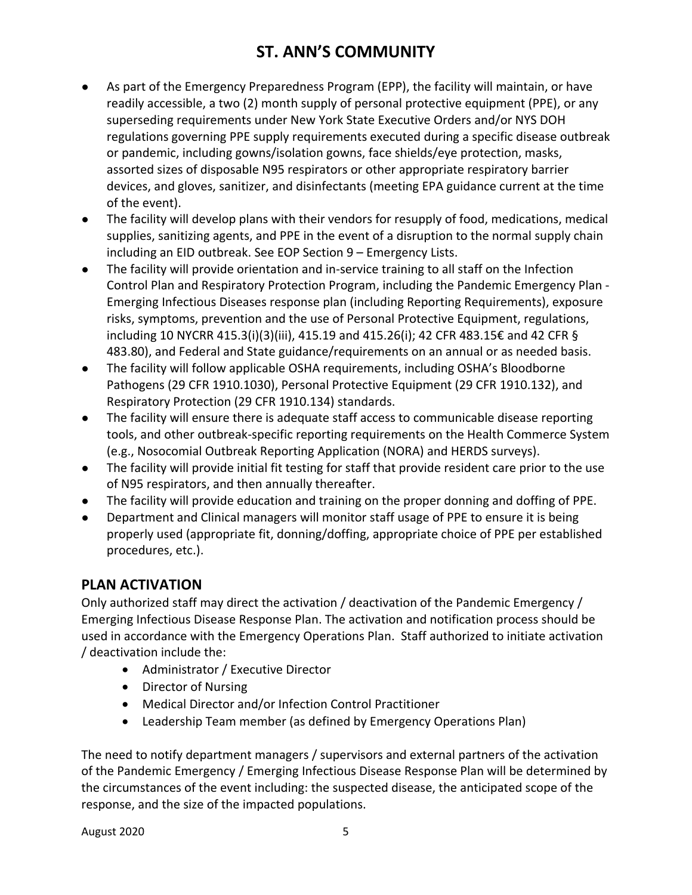- As part of the Emergency Preparedness Program (EPP), the facility will maintain, or have readily accessible, a two (2) month supply of personal protective equipment (PPE), or any superseding requirements under New York State Executive Orders and/or NYS DOH regulations governing PPE supply requirements executed during a specific disease outbreak or pandemic, including gowns/isolation gowns, face shields/eye protection, masks, assorted sizes of disposable N95 respirators or other appropriate respiratory barrier devices, and gloves, sanitizer, and disinfectants (meeting EPA guidance current at the time of the event).
- The facility will develop plans with their vendors for resupply of food, medications, medical supplies, sanitizing agents, and PPE in the event of a disruption to the normal supply chain including an EID outbreak. See EOP Section 9 – Emergency Lists.
- The facility will provide orientation and in-service training to all staff on the Infection Control Plan and Respiratory Protection Program, including the Pandemic Emergency Plan - Emerging Infectious Diseases response plan (including Reporting Requirements), exposure risks, symptoms, prevention and the use of Personal Protective Equipment, regulations, including 10 NYCRR 415.3(i)(3)(iii), 415.19 and 415.26(i); 42 CFR 483.15€ and 42 CFR § 483.80), and Federal and State guidance/requirements on an annual or as needed basis.
- The facility will follow applicable OSHA requirements, including OSHA's Bloodborne Pathogens (29 CFR 1910.1030), Personal Protective Equipment (29 CFR 1910.132), and Respiratory Protection (29 CFR 1910.134) standards.
- The facility will ensure there is adequate staff access to communicable disease reporting tools, and other outbreak-specific reporting requirements on the Health Commerce System (e.g., Nosocomial Outbreak Reporting Application (NORA) and HERDS surveys).
- The facility will provide initial fit testing for staff that provide resident care prior to the use of N95 respirators, and then annually thereafter.
- The facility will provide education and training on the proper donning and doffing of PPE.
- Department and Clinical managers will monitor staff usage of PPE to ensure it is being properly used (appropriate fit, donning/doffing, appropriate choice of PPE per established procedures, etc.).

### **PLAN ACTIVATION**

Only authorized staff may direct the activation / deactivation of the Pandemic Emergency / Emerging Infectious Disease Response Plan. The activation and notification process should be used in accordance with the Emergency Operations Plan. Staff authorized to initiate activation / deactivation include the:

- Administrator / Executive Director
- Director of Nursing
- Medical Director and/or Infection Control Practitioner
- Leadership Team member (as defined by Emergency Operations Plan)

The need to notify department managers / supervisors and external partners of the activation of the Pandemic Emergency / Emerging Infectious Disease Response Plan will be determined by the circumstances of the event including: the suspected disease, the anticipated scope of the response, and the size of the impacted populations.

August 2020 5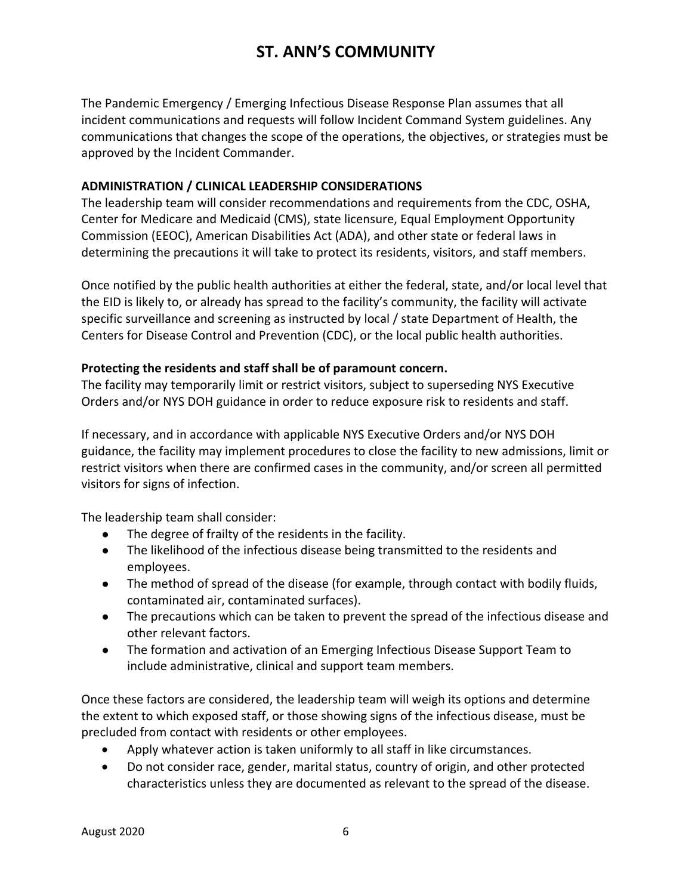The Pandemic Emergency / Emerging Infectious Disease Response Plan assumes that all incident communications and requests will follow Incident Command System guidelines. Any communications that changes the scope of the operations, the objectives, or strategies must be approved by the Incident Commander.

#### **ADMINISTRATION / CLINICAL LEADERSHIP CONSIDERATIONS**

The leadership team will consider recommendations and requirements from the CDC, OSHA, Center for Medicare and Medicaid (CMS), state licensure, Equal Employment Opportunity Commission (EEOC), American Disabilities Act (ADA), and other state or federal laws in determining the precautions it will take to protect its residents, visitors, and staff members.

Once notified by the public health authorities at either the federal, state, and/or local level that the EID is likely to, or already has spread to the facility's community, the facility will activate specific surveillance and screening as instructed by local / state Department of Health, the Centers for Disease Control and Prevention (CDC), or the local public health authorities.

#### **Protecting the residents and staff shall be of paramount concern.**

The facility may temporarily limit or restrict visitors, subject to superseding NYS Executive Orders and/or NYS DOH guidance in order to reduce exposure risk to residents and staff.

If necessary, and in accordance with applicable NYS Executive Orders and/or NYS DOH guidance, the facility may implement procedures to close the facility to new admissions, limit or restrict visitors when there are confirmed cases in the community, and/or screen all permitted visitors for signs of infection.

The leadership team shall consider:

- The degree of frailty of the residents in the facility.
- The likelihood of the infectious disease being transmitted to the residents and employees.
- The method of spread of the disease (for example, through contact with bodily fluids, contaminated air, contaminated surfaces).
- The precautions which can be taken to prevent the spread of the infectious disease and other relevant factors.
- The formation and activation of an Emerging Infectious Disease Support Team to include administrative, clinical and support team members.

Once these factors are considered, the leadership team will weigh its options and determine the extent to which exposed staff, or those showing signs of the infectious disease, must be precluded from contact with residents or other employees.

- Apply whatever action is taken uniformly to all staff in like circumstances.
- Do not consider race, gender, marital status, country of origin, and other protected characteristics unless they are documented as relevant to the spread of the disease.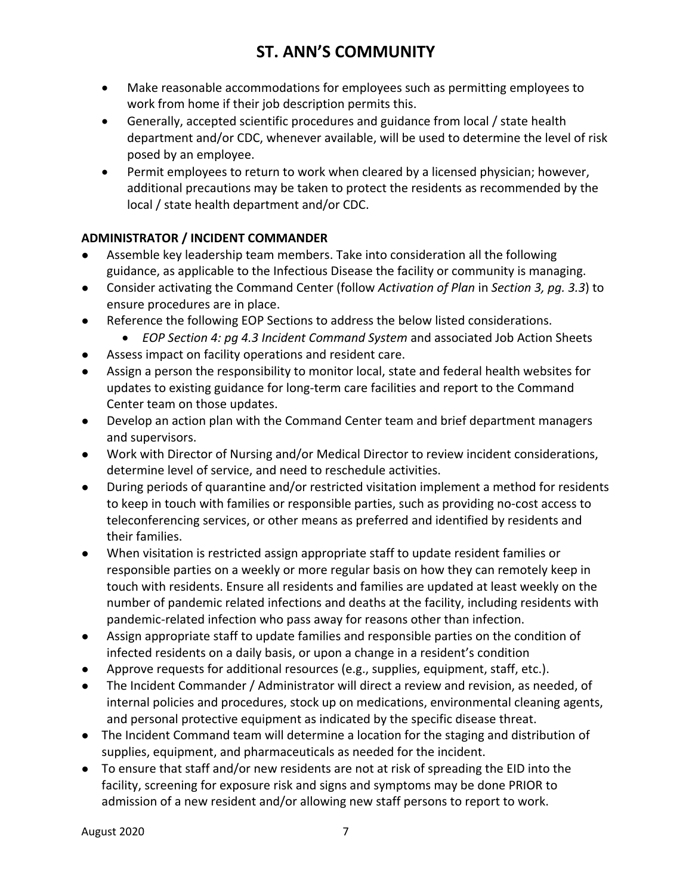- Make reasonable accommodations for employees such as permitting employees to work from home if their job description permits this.
- Generally, accepted scientific procedures and guidance from local / state health department and/or CDC, whenever available, will be used to determine the level of risk posed by an employee.
- Permit employees to return to work when cleared by a licensed physician; however, additional precautions may be taken to protect the residents as recommended by the local / state health department and/or CDC.

### **ADMINISTRATOR / INCIDENT COMMANDER**

- Assemble key leadership team members. Take into consideration all the following guidance, as applicable to the Infectious Disease the facility or community is managing.
- Consider activating the Command Center (follow *Activation of Plan* in *Section 3, pg. 3.3*) to ensure procedures are in place.
- Reference the following EOP Sections to address the below listed considerations.
	- *EOP Section 4: pg 4.3 Incident Command System* and associated Job Action Sheets
- Assess impact on facility operations and resident care.
- Assign a person the responsibility to monitor local, state and federal health websites for updates to existing guidance for long-term care facilities and report to the Command Center team on those updates.
- Develop an action plan with the Command Center team and brief department managers and supervisors.
- Work with Director of Nursing and/or Medical Director to review incident considerations, determine level of service, and need to reschedule activities.
- During periods of quarantine and/or restricted visitation implement a method for residents to keep in touch with families or responsible parties, such as providing no-cost access to teleconferencing services, or other means as preferred and identified by residents and their families.
- When visitation is restricted assign appropriate staff to update resident families or responsible parties on a weekly or more regular basis on how they can remotely keep in touch with residents. Ensure all residents and families are updated at least weekly on the number of pandemic related infections and deaths at the facility, including residents with pandemic-related infection who pass away for reasons other than infection.
- Assign appropriate staff to update families and responsible parties on the condition of infected residents on a daily basis, or upon a change in a resident's condition
- Approve requests for additional resources (e.g., supplies, equipment, staff, etc.).
- The Incident Commander / Administrator will direct a review and revision, as needed, of internal policies and procedures, stock up on medications, environmental cleaning agents, and personal protective equipment as indicated by the specific disease threat.
- The Incident Command team will determine a location for the staging and distribution of supplies, equipment, and pharmaceuticals as needed for the incident.
- To ensure that staff and/or new residents are not at risk of spreading the EID into the facility, screening for exposure risk and signs and symptoms may be done PRIOR to admission of a new resident and/or allowing new staff persons to report to work.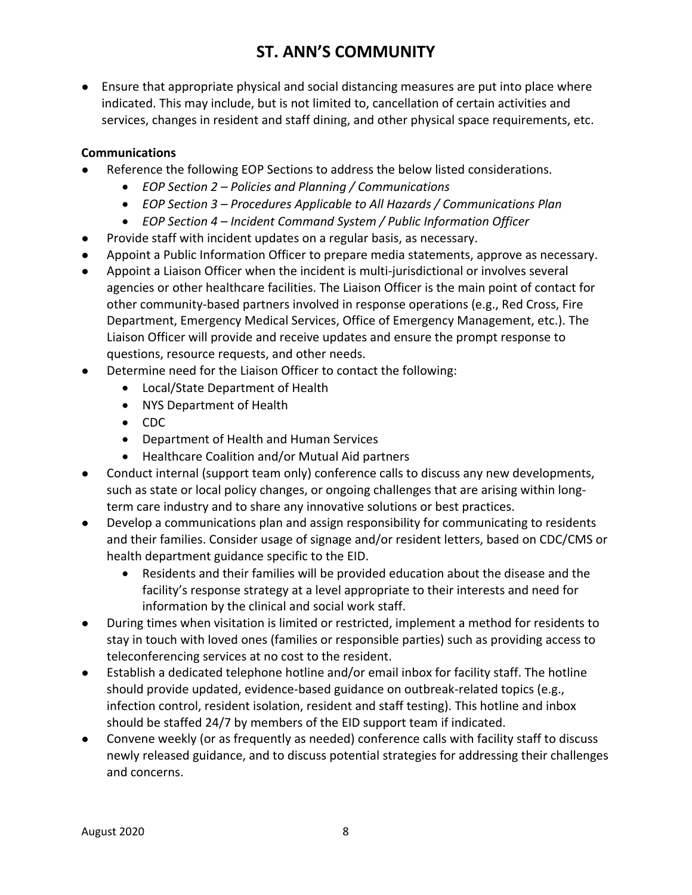● Ensure that appropriate physical and social distancing measures are put into place where indicated. This may include, but is not limited to, cancellation of certain activities and services, changes in resident and staff dining, and other physical space requirements, etc.

### **Communications**

- Reference the following EOP Sections to address the below listed considerations.
	- *EOP Section 2 – Policies and Planning / Communications*
	- *EOP Section 3 – Procedures Applicable to All Hazards / Communications Plan*
	- *EOP Section 4 – Incident Command System / Public Information Officer*
- Provide staff with incident updates on a regular basis, as necessary.
- Appoint a Public Information Officer to prepare media statements, approve as necessary.
- Appoint a Liaison Officer when the incident is multi-jurisdictional or involves several agencies or other healthcare facilities. The Liaison Officer is the main point of contact for other community-based partners involved in response operations (e.g., Red Cross, Fire Department, Emergency Medical Services, Office of Emergency Management, etc.). The Liaison Officer will provide and receive updates and ensure the prompt response to questions, resource requests, and other needs.
- Determine need for the Liaison Officer to contact the following:
	- Local/State Department of Health
	- NYS Department of Health
	- CDC
	- Department of Health and Human Services
	- Healthcare Coalition and/or Mutual Aid partners
- Conduct internal (support team only) conference calls to discuss any new developments, such as state or local policy changes, or ongoing challenges that are arising within longterm care industry and to share any innovative solutions or best practices.
- Develop a communications plan and assign responsibility for communicating to residents and their families. Consider usage of signage and/or resident letters, based on CDC/CMS or health department guidance specific to the EID.
	- Residents and their families will be provided education about the disease and the facility's response strategy at a level appropriate to their interests and need for information by the clinical and social work staff.
- During times when visitation is limited or restricted, implement a method for residents to stay in touch with loved ones (families or responsible parties) such as providing access to teleconferencing services at no cost to the resident.
- Establish a dedicated telephone hotline and/or email inbox for facility staff. The hotline should provide updated, evidence-based guidance on outbreak-related topics (e.g., infection control, resident isolation, resident and staff testing). This hotline and inbox should be staffed 24/7 by members of the EID support team if indicated.
- Convene weekly (or as frequently as needed) conference calls with facility staff to discuss newly released guidance, and to discuss potential strategies for addressing their challenges and concerns.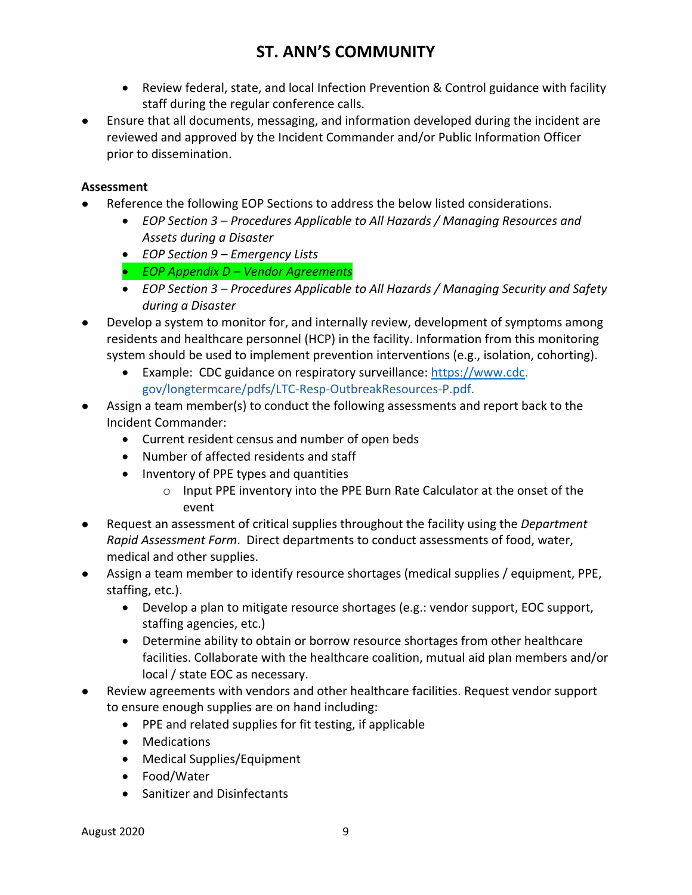- Review federal, state, and local Infection Prevention & Control guidance with facility staff during the regular conference calls.
- Ensure that all documents, messaging, and information developed during the incident are reviewed and approved by the Incident Commander and/or Public Information Officer prior to dissemination.

#### **Assessment**

- Reference the following EOP Sections to address the below listed considerations.
	- *EOP Section 3 – Procedures Applicable to All Hazards / Managing Resources and Assets during a Disaster*
	- *EOP Section 9 – Emergency Lists*
	- *EOP Appendix D – Vendor Agreements*
	- *EOP Section 3 – Procedures Applicable to All Hazards / Managing Security and Safety during a Disaster*
- Develop a system to monitor for, and internally review, development of symptoms among residents and healthcare personnel (HCP) in the facility. Information from this monitoring system should be used to implement prevention interventions (e.g., isolation, cohorting).
	- Example: CDC guidance on respiratory surveillance: [https://www.cdc.](https://www.cdc/) gov/longtermcare/pdfs/LTC-Resp-OutbreakResources-P.pdf.
- Assign a team member(s) to conduct the following assessments and report back to the Incident Commander:
	- Current resident census and number of open beds
	- Number of affected residents and staff
	- Inventory of PPE types and quantities
		- o Input PPE inventory into the PPE Burn Rate Calculator at the onset of the event
- Request an assessment of critical supplies throughout the facility using the *Department Rapid Assessment Form*. Direct departments to conduct assessments of food, water, medical and other supplies.
- Assign a team member to identify resource shortages (medical supplies / equipment, PPE, staffing, etc.).
	- Develop a plan to mitigate resource shortages (e.g.: vendor support, EOC support, staffing agencies, etc.)
	- Determine ability to obtain or borrow resource shortages from other healthcare facilities. Collaborate with the healthcare coalition, mutual aid plan members and/or local / state EOC as necessary.
- Review agreements with vendors and other healthcare facilities. Request vendor support to ensure enough supplies are on hand including:
	- PPE and related supplies for fit testing, if applicable
	- Medications
	- Medical Supplies/Equipment
	- Food/Water
	- Sanitizer and Disinfectants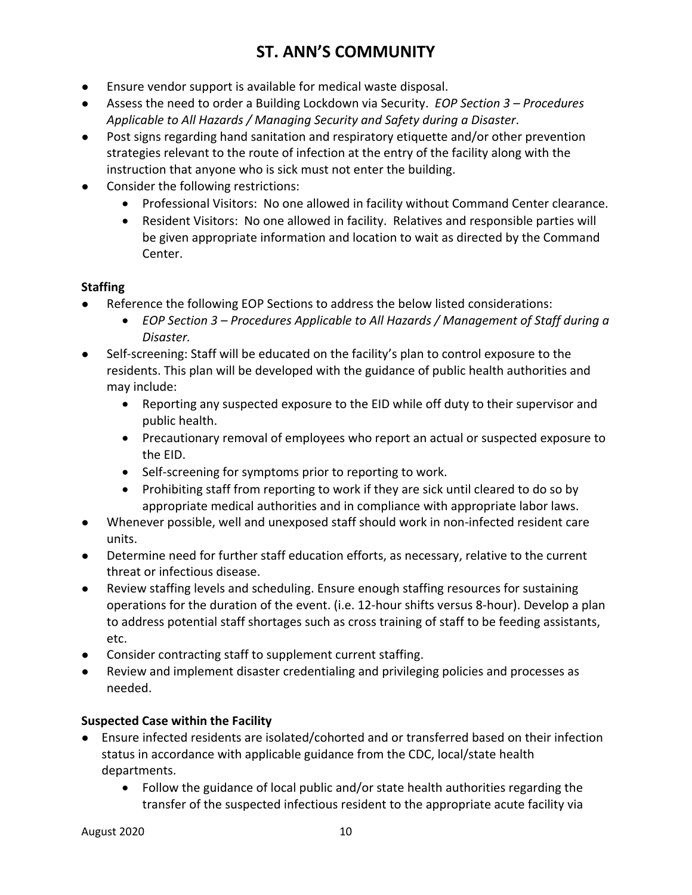- Ensure vendor support is available for medical waste disposal.
- Assess the need to order a Building Lockdown via Security. *EOP Section 3 – Procedures Applicable to All Hazards / Managing Security and Safety during a Disaster*.
- Post signs regarding hand sanitation and respiratory etiquette and/or other prevention strategies relevant to the route of infection at the entry of the facility along with the instruction that anyone who is sick must not enter the building.
- Consider the following restrictions:
	- Professional Visitors: No one allowed in facility without Command Center clearance.
	- Resident Visitors: No one allowed in facility. Relatives and responsible parties will be given appropriate information and location to wait as directed by the Command Center.

### **Staffing**

- Reference the following EOP Sections to address the below listed considerations:
	- *EOP Section 3 – Procedures Applicable to All Hazards / Management of Staff during a Disaster.*
- Self-screening: Staff will be educated on the facility's plan to control exposure to the residents. This plan will be developed with the guidance of public health authorities and may include:
	- Reporting any suspected exposure to the EID while off duty to their supervisor and public health.
	- Precautionary removal of employees who report an actual or suspected exposure to the EID.
	- Self-screening for symptoms prior to reporting to work.
	- Prohibiting staff from reporting to work if they are sick until cleared to do so by appropriate medical authorities and in compliance with appropriate labor laws.
- Whenever possible, well and unexposed staff should work in non-infected resident care units.
- Determine need for further staff education efforts, as necessary, relative to the current threat or infectious disease.
- Review staffing levels and scheduling. Ensure enough staffing resources for sustaining operations for the duration of the event. (i.e. 12-hour shifts versus 8-hour). Develop a plan to address potential staff shortages such as cross training of staff to be feeding assistants, etc.
- Consider contracting staff to supplement current staffing.
- Review and implement disaster credentialing and privileging policies and processes as needed.

### **Suspected Case within the Facility**

- Ensure infected residents are isolated/cohorted and or transferred based on their infection status in accordance with applicable guidance from the CDC, local/state health departments.
	- Follow the guidance of local public and/or state health authorities regarding the transfer of the suspected infectious resident to the appropriate acute facility via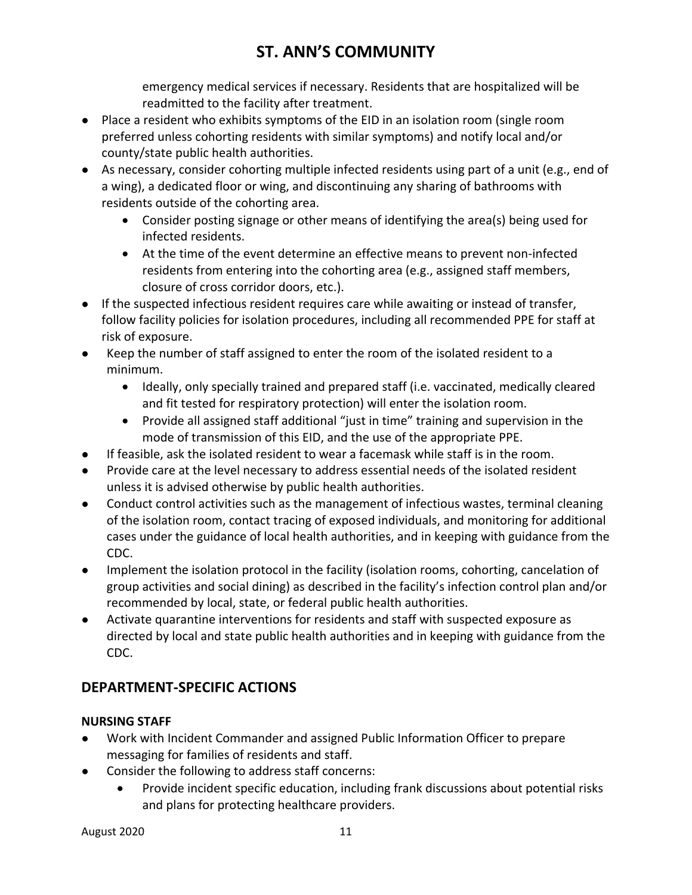emergency medical services if necessary. Residents that are hospitalized will be readmitted to the facility after treatment.

- Place a resident who exhibits symptoms of the EID in an isolation room (single room preferred unless cohorting residents with similar symptoms) and notify local and/or county/state public health authorities.
- As necessary, consider cohorting multiple infected residents using part of a unit (e.g., end of a wing), a dedicated floor or wing, and discontinuing any sharing of bathrooms with residents outside of the cohorting area.
	- Consider posting signage or other means of identifying the area(s) being used for infected residents.
	- At the time of the event determine an effective means to prevent non-infected residents from entering into the cohorting area (e.g., assigned staff members, closure of cross corridor doors, etc.).
- If the suspected infectious resident requires care while awaiting or instead of transfer, follow facility policies for isolation procedures, including all recommended PPE for staff at risk of exposure.
- Keep the number of staff assigned to enter the room of the isolated resident to a minimum.
	- Ideally, only specially trained and prepared staff (i.e. vaccinated, medically cleared and fit tested for respiratory protection) will enter the isolation room.
	- Provide all assigned staff additional "just in time" training and supervision in the mode of transmission of this EID, and the use of the appropriate PPE.
- If feasible, ask the isolated resident to wear a facemask while staff is in the room.
- Provide care at the level necessary to address essential needs of the isolated resident unless it is advised otherwise by public health authorities.
- Conduct control activities such as the management of infectious wastes, terminal cleaning of the isolation room, contact tracing of exposed individuals, and monitoring for additional cases under the guidance of local health authorities, and in keeping with guidance from the CDC.
- Implement the isolation protocol in the facility (isolation rooms, cohorting, cancelation of group activities and social dining) as described in the facility's infection control plan and/or recommended by local, state, or federal public health authorities.
- Activate quarantine interventions for residents and staff with suspected exposure as directed by local and state public health authorities and in keeping with guidance from the CDC.

### **DEPARTMENT-SPECIFIC ACTIONS**

### **NURSING STAFF**

- Work with Incident Commander and assigned Public Information Officer to prepare messaging for families of residents and staff.
- Consider the following to address staff concerns:
	- Provide incident specific education, including frank discussions about potential risks and plans for protecting healthcare providers.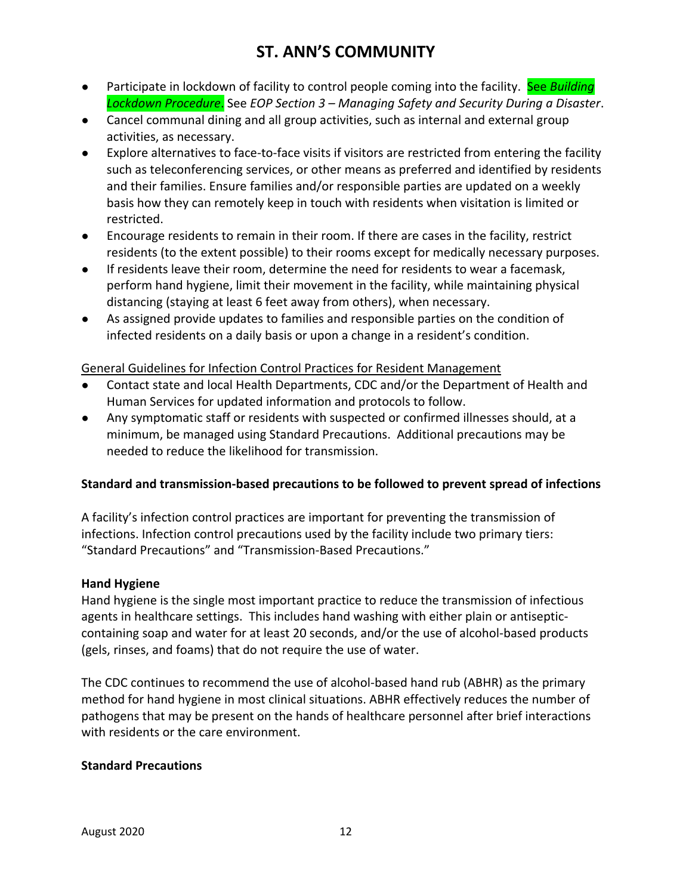- **•** Participate in lockdown of facility to control people coming into the facility. See *Building Lockdown Procedure*. See *EOP Section 3 – Managing Safety and Security During a Disaster*.
- Cancel communal dining and all group activities, such as internal and external group activities, as necessary.
- Explore alternatives to face-to-face visits if visitors are restricted from entering the facility such as teleconferencing services, or other means as preferred and identified by residents and their families. Ensure families and/or responsible parties are updated on a weekly basis how they can remotely keep in touch with residents when visitation is limited or restricted.
- Encourage residents to remain in their room. If there are cases in the facility, restrict residents (to the extent possible) to their rooms except for medically necessary purposes.
- If residents leave their room, determine the need for residents to wear a facemask, perform hand hygiene, limit their movement in the facility, while maintaining physical distancing (staying at least 6 feet away from others), when necessary.
- As assigned provide updates to families and responsible parties on the condition of infected residents on a daily basis or upon a change in a resident's condition.

#### General Guidelines for Infection Control Practices for Resident Management

- Contact state and local Health Departments, CDC and/or the Department of Health and Human Services for updated information and protocols to follow.
- Any symptomatic staff or residents with suspected or confirmed illnesses should, at a minimum, be managed using Standard Precautions. Additional precautions may be needed to reduce the likelihood for transmission.

#### **Standard and transmission-based precautions to be followed to prevent spread of infections**

A facility's infection control practices are important for preventing the transmission of infections. Infection control precautions used by the facility include two primary tiers: "Standard Precautions" and "Transmission-Based Precautions."

#### **Hand Hygiene**

Hand hygiene is the single most important practice to reduce the transmission of infectious agents in healthcare settings. This includes hand washing with either plain or antisepticcontaining soap and water for at least 20 seconds, and/or the use of alcohol-based products (gels, rinses, and foams) that do not require the use of water.

The CDC continues to recommend the use of alcohol-based hand rub (ABHR) as the primary method for hand hygiene in most clinical situations. ABHR effectively reduces the number of pathogens that may be present on the hands of healthcare personnel after brief interactions with residents or the care environment.

#### **Standard Precautions**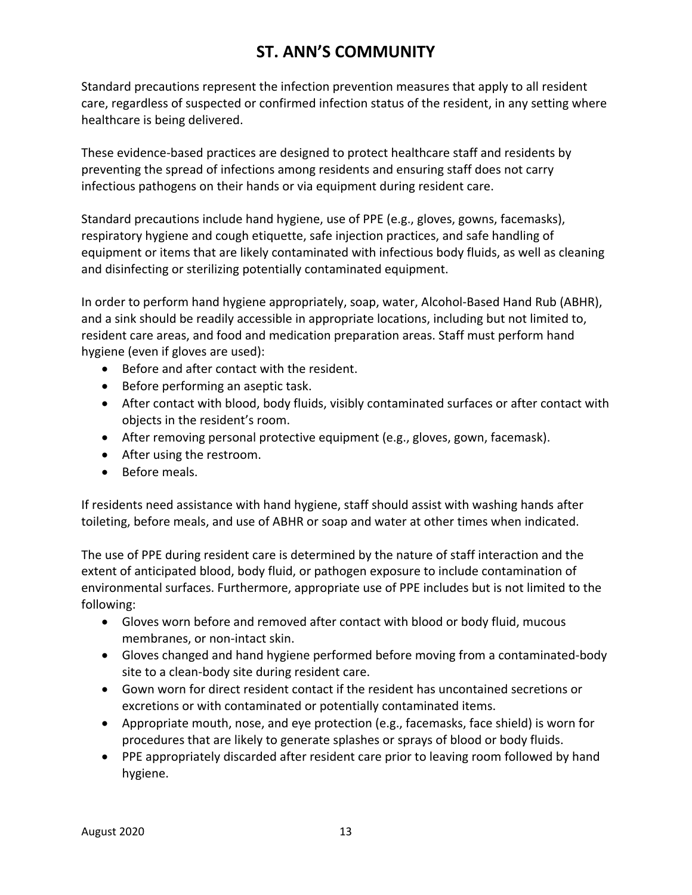Standard precautions represent the infection prevention measures that apply to all resident care, regardless of suspected or confirmed infection status of the resident, in any setting where healthcare is being delivered.

These evidence-based practices are designed to protect healthcare staff and residents by preventing the spread of infections among residents and ensuring staff does not carry infectious pathogens on their hands or via equipment during resident care.

Standard precautions include hand hygiene, use of PPE (e.g., gloves, gowns, facemasks), respiratory hygiene and cough etiquette, safe injection practices, and safe handling of equipment or items that are likely contaminated with infectious body fluids, as well as cleaning and disinfecting or sterilizing potentially contaminated equipment.

In order to perform hand hygiene appropriately, soap, water, Alcohol-Based Hand Rub (ABHR), and a sink should be readily accessible in appropriate locations, including but not limited to, resident care areas, and food and medication preparation areas. Staff must perform hand hygiene (even if gloves are used):

- Before and after contact with the resident.
- Before performing an aseptic task.
- After contact with blood, body fluids, visibly contaminated surfaces or after contact with objects in the resident's room.
- After removing personal protective equipment (e.g., gloves, gown, facemask).
- After using the restroom.
- Before meals.

If residents need assistance with hand hygiene, staff should assist with washing hands after toileting, before meals, and use of ABHR or soap and water at other times when indicated.

The use of PPE during resident care is determined by the nature of staff interaction and the extent of anticipated blood, body fluid, or pathogen exposure to include contamination of environmental surfaces. Furthermore, appropriate use of PPE includes but is not limited to the following:

- Gloves worn before and removed after contact with blood or body fluid, mucous membranes, or non-intact skin.
- Gloves changed and hand hygiene performed before moving from a contaminated-body site to a clean-body site during resident care.
- Gown worn for direct resident contact if the resident has uncontained secretions or excretions or with contaminated or potentially contaminated items.
- Appropriate mouth, nose, and eye protection (e.g., facemasks, face shield) is worn for procedures that are likely to generate splashes or sprays of blood or body fluids.
- PPE appropriately discarded after resident care prior to leaving room followed by hand hygiene.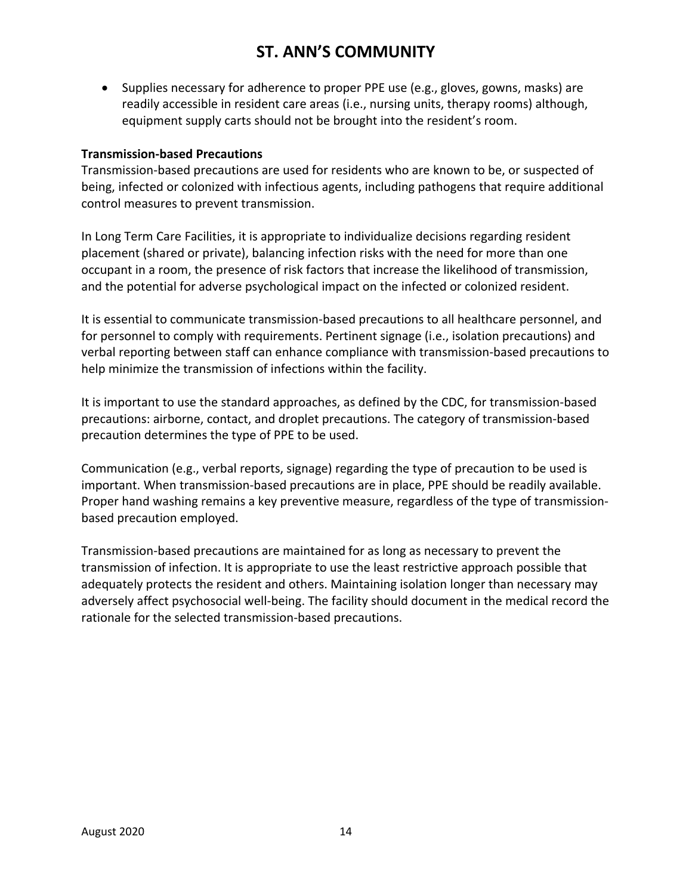• Supplies necessary for adherence to proper PPE use (e.g., gloves, gowns, masks) are readily accessible in resident care areas (i.e., nursing units, therapy rooms) although, equipment supply carts should not be brought into the resident's room.

#### **Transmission-based Precautions**

Transmission-based precautions are used for residents who are known to be, or suspected of being, infected or colonized with infectious agents, including pathogens that require additional control measures to prevent transmission.

In Long Term Care Facilities, it is appropriate to individualize decisions regarding resident placement (shared or private), balancing infection risks with the need for more than one occupant in a room, the presence of risk factors that increase the likelihood of transmission, and the potential for adverse psychological impact on the infected or colonized resident.

It is essential to communicate transmission-based precautions to all healthcare personnel, and for personnel to comply with requirements. Pertinent signage (i.e., isolation precautions) and verbal reporting between staff can enhance compliance with transmission-based precautions to help minimize the transmission of infections within the facility.

It is important to use the standard approaches, as defined by the CDC, for transmission-based precautions: airborne, contact, and droplet precautions. The category of transmission-based precaution determines the type of PPE to be used.

Communication (e.g., verbal reports, signage) regarding the type of precaution to be used is important. When transmission-based precautions are in place, PPE should be readily available. Proper hand washing remains a key preventive measure, regardless of the type of transmissionbased precaution employed.

Transmission-based precautions are maintained for as long as necessary to prevent the transmission of infection. It is appropriate to use the least restrictive approach possible that adequately protects the resident and others. Maintaining isolation longer than necessary may adversely affect psychosocial well-being. The facility should document in the medical record the rationale for the selected transmission-based precautions.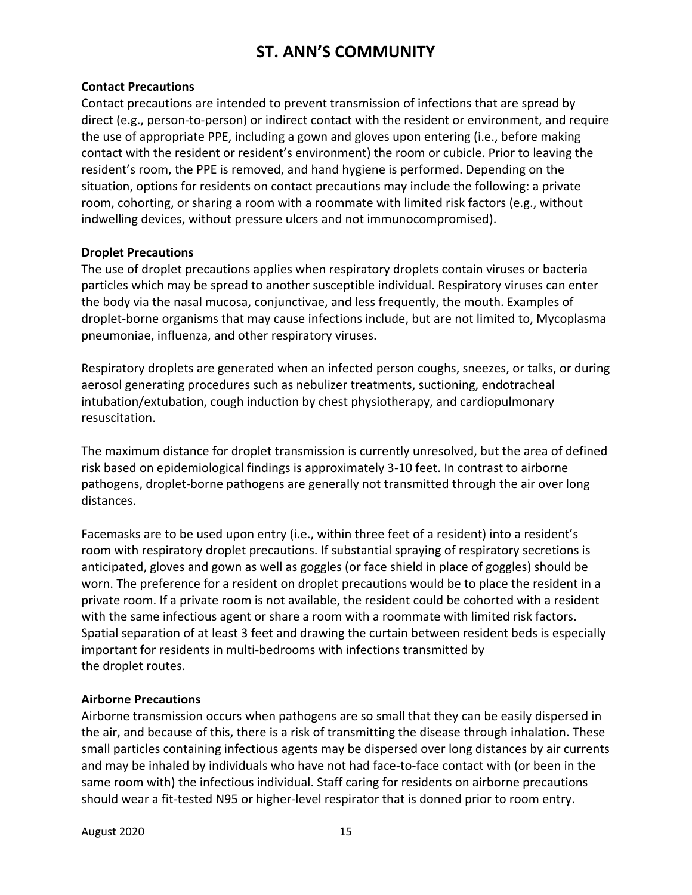#### **Contact Precautions**

Contact precautions are intended to prevent transmission of infections that are spread by direct (e.g., person-to-person) or indirect contact with the resident or environment, and require the use of appropriate PPE, including a gown and gloves upon entering (i.e., before making contact with the resident or resident's environment) the room or cubicle. Prior to leaving the resident's room, the PPE is removed, and hand hygiene is performed. Depending on the situation, options for residents on contact precautions may include the following: a private room, cohorting, or sharing a room with a roommate with limited risk factors (e.g., without indwelling devices, without pressure ulcers and not immunocompromised).

#### **Droplet Precautions**

The use of droplet precautions applies when respiratory droplets contain viruses or bacteria particles which may be spread to another susceptible individual. Respiratory viruses can enter the body via the nasal mucosa, conjunctivae, and less frequently, the mouth. Examples of droplet-borne organisms that may cause infections include, but are not limited to, Mycoplasma pneumoniae, influenza, and other respiratory viruses.

Respiratory droplets are generated when an infected person coughs, sneezes, or talks, or during aerosol generating procedures such as nebulizer treatments, suctioning, endotracheal intubation/extubation, cough induction by chest physiotherapy, and cardiopulmonary resuscitation.

The maximum distance for droplet transmission is currently unresolved, but the area of defined risk based on epidemiological findings is approximately 3-10 feet. In contrast to airborne pathogens, droplet-borne pathogens are generally not transmitted through the air over long distances.

Facemasks are to be used upon entry (i.e., within three feet of a resident) into a resident's room with respiratory droplet precautions. If substantial spraying of respiratory secretions is anticipated, gloves and gown as well as goggles (or face shield in place of goggles) should be worn. The preference for a resident on droplet precautions would be to place the resident in a private room. If a private room is not available, the resident could be cohorted with a resident with the same infectious agent or share a room with a roommate with limited risk factors. Spatial separation of at least 3 feet and drawing the curtain between resident beds is especially important for residents in multi-bedrooms with infections transmitted by the droplet routes.

#### **Airborne Precautions**

Airborne transmission occurs when pathogens are so small that they can be easily dispersed in the air, and because of this, there is a risk of transmitting the disease through inhalation. These small particles containing infectious agents may be dispersed over long distances by air currents and may be inhaled by individuals who have not had face-to-face contact with (or been in the same room with) the infectious individual. Staff caring for residents on airborne precautions should wear a fit-tested N95 or higher-level respirator that is donned prior to room entry.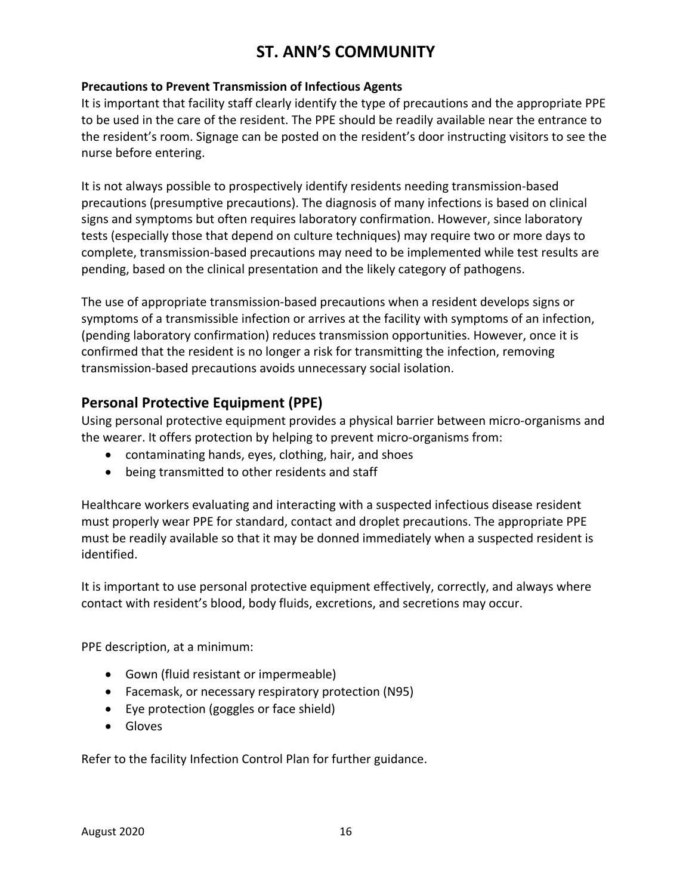#### **Precautions to Prevent Transmission of Infectious Agents**

It is important that facility staff clearly identify the type of precautions and the appropriate PPE to be used in the care of the resident. The PPE should be readily available near the entrance to the resident's room. Signage can be posted on the resident's door instructing visitors to see the nurse before entering.

It is not always possible to prospectively identify residents needing transmission-based precautions (presumptive precautions). The diagnosis of many infections is based on clinical signs and symptoms but often requires laboratory confirmation. However, since laboratory tests (especially those that depend on culture techniques) may require two or more days to complete, transmission-based precautions may need to be implemented while test results are pending, based on the clinical presentation and the likely category of pathogens.

The use of appropriate transmission-based precautions when a resident develops signs or symptoms of a transmissible infection or arrives at the facility with symptoms of an infection, (pending laboratory confirmation) reduces transmission opportunities. However, once it is confirmed that the resident is no longer a risk for transmitting the infection, removing transmission-based precautions avoids unnecessary social isolation.

### **Personal Protective Equipment (PPE)**

Using personal protective equipment provides a physical barrier between micro-organisms and the wearer. It offers protection by helping to prevent micro-organisms from:

- contaminating hands, eyes, clothing, hair, and shoes
- being transmitted to other residents and staff

Healthcare workers evaluating and interacting with a suspected infectious disease resident must properly wear PPE for standard, contact and droplet precautions. The appropriate PPE must be readily available so that it may be donned immediately when a suspected resident is identified.

It is important to use personal protective equipment effectively, correctly, and always where contact with resident's blood, body fluids, excretions, and secretions may occur.

PPE description, at a minimum:

- Gown (fluid resistant or impermeable)
- Facemask, or necessary respiratory protection (N95)
- Eye protection (goggles or face shield)
- Gloves

Refer to the facility Infection Control Plan for further guidance.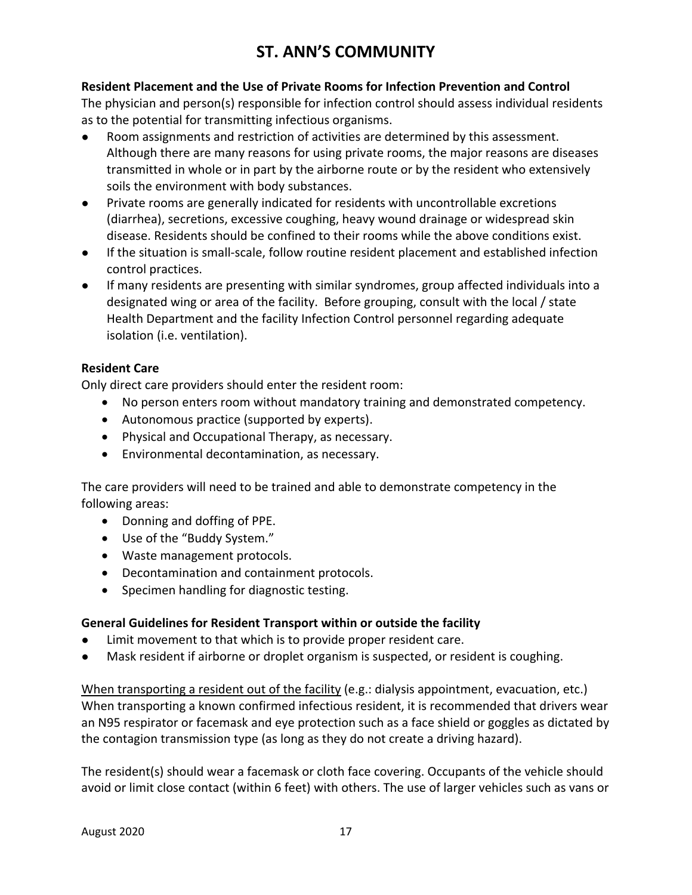#### **Resident Placement and the Use of Private Rooms for Infection Prevention and Control**

The physician and person(s) responsible for infection control should assess individual residents as to the potential for transmitting infectious organisms.

- Room assignments and restriction of activities are determined by this assessment. Although there are many reasons for using private rooms, the major reasons are diseases transmitted in whole or in part by the airborne route or by the resident who extensively soils the environment with body substances.
- Private rooms are generally indicated for residents with uncontrollable excretions (diarrhea), secretions, excessive coughing, heavy wound drainage or widespread skin disease. Residents should be confined to their rooms while the above conditions exist.
- If the situation is small-scale, follow routine resident placement and established infection control practices.
- If many residents are presenting with similar syndromes, group affected individuals into a designated wing or area of the facility. Before grouping, consult with the local / state Health Department and the facility Infection Control personnel regarding adequate isolation (i.e. ventilation).

#### **Resident Care**

Only direct care providers should enter the resident room:

- No person enters room without mandatory training and demonstrated competency.
- Autonomous practice (supported by experts).
- Physical and Occupational Therapy, as necessary.
- Environmental decontamination, as necessary.

The care providers will need to be trained and able to demonstrate competency in the following areas:

- Donning and doffing of PPE.
- Use of the "Buddy System."
- Waste management protocols.
- Decontamination and containment protocols.
- Specimen handling for diagnostic testing.

#### **General Guidelines for Resident Transport within or outside the facility**

- Limit movement to that which is to provide proper resident care.
- Mask resident if airborne or droplet organism is suspected, or resident is coughing.

When transporting a resident out of the facility (e.g.: dialysis appointment, evacuation, etc.) When transporting a known confirmed infectious resident, it is recommended that drivers wear an N95 respirator or facemask and eye protection such as a face shield or goggles as dictated by the contagion transmission type (as long as they do not create a driving hazard).

The resident(s) should wear a facemask or cloth face covering. Occupants of the vehicle should avoid or limit close contact (within 6 feet) with others. The use of larger vehicles such as vans or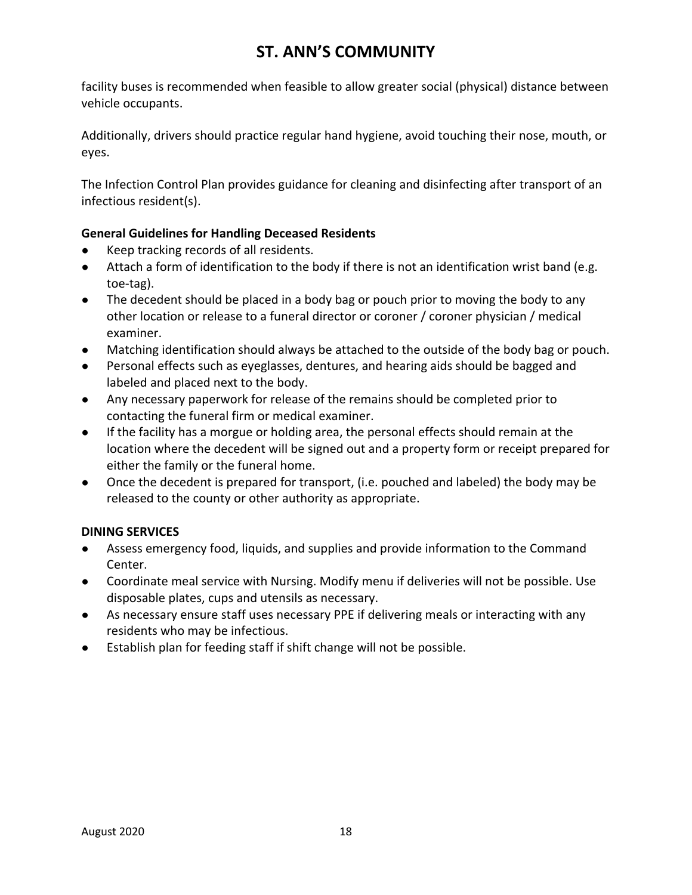facility buses is recommended when feasible to allow greater social (physical) distance between vehicle occupants.

Additionally, drivers should practice regular hand hygiene, avoid touching their nose, mouth, or eyes.

The Infection Control Plan provides guidance for cleaning and disinfecting after transport of an infectious resident(s).

### **General Guidelines for Handling Deceased Residents**

- Keep tracking records of all residents.
- Attach a form of identification to the body if there is not an identification wrist band (e.g. toe-tag).
- The decedent should be placed in a body bag or pouch prior to moving the body to any other location or release to a funeral director or coroner / coroner physician / medical examiner.
- Matching identification should always be attached to the outside of the body bag or pouch.
- Personal effects such as eyeglasses, dentures, and hearing aids should be bagged and labeled and placed next to the body.
- Any necessary paperwork for release of the remains should be completed prior to contacting the funeral firm or medical examiner.
- If the facility has a morgue or holding area, the personal effects should remain at the location where the decedent will be signed out and a property form or receipt prepared for either the family or the funeral home.
- Once the decedent is prepared for transport, (i.e. pouched and labeled) the body may be released to the county or other authority as appropriate.

#### **DINING SERVICES**

- Assess emergency food, liquids, and supplies and provide information to the Command Center.
- Coordinate meal service with Nursing. Modify menu if deliveries will not be possible. Use disposable plates, cups and utensils as necessary.
- As necessary ensure staff uses necessary PPE if delivering meals or interacting with any residents who may be infectious.
- Establish plan for feeding staff if shift change will not be possible.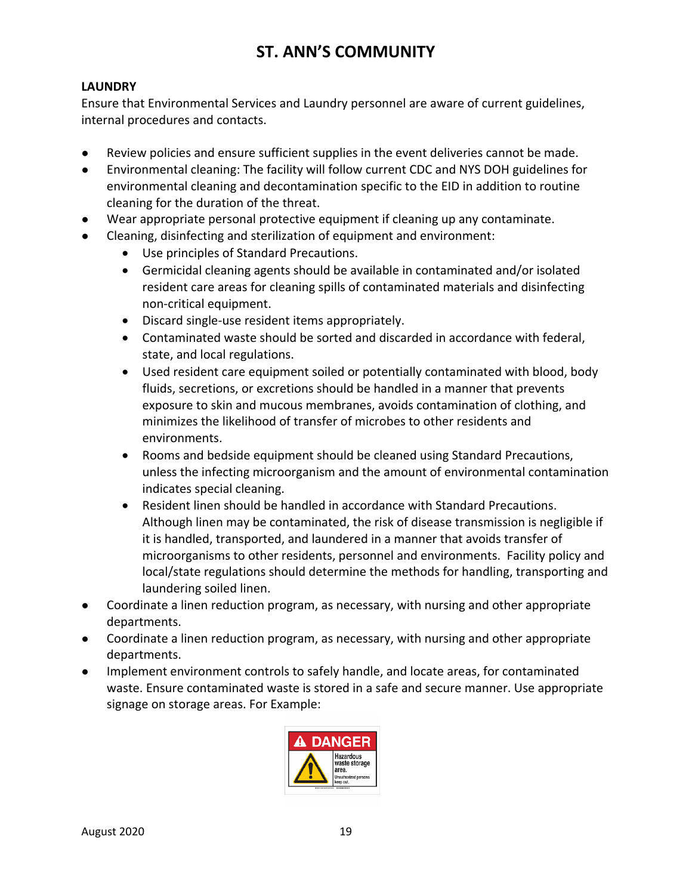### **LAUNDRY**

Ensure that Environmental Services and Laundry personnel are aware of current guidelines, internal procedures and contacts.

- Review policies and ensure sufficient supplies in the event deliveries cannot be made.
- Environmental cleaning: The facility will follow current CDC and NYS DOH guidelines for environmental cleaning and decontamination specific to the EID in addition to routine cleaning for the duration of the threat.
- Wear appropriate personal protective equipment if cleaning up any contaminate.
- Cleaning, disinfecting and sterilization of equipment and environment:
	- Use principles of Standard Precautions.
	- Germicidal cleaning agents should be available in contaminated and/or isolated resident care areas for cleaning spills of contaminated materials and disinfecting non-critical equipment.
	- Discard single-use resident items appropriately.
	- Contaminated waste should be sorted and discarded in accordance with federal, state, and local regulations.
	- Used resident care equipment soiled or potentially contaminated with blood, body fluids, secretions, or excretions should be handled in a manner that prevents exposure to skin and mucous membranes, avoids contamination of clothing, and minimizes the likelihood of transfer of microbes to other residents and environments.
	- Rooms and bedside equipment should be cleaned using Standard Precautions, unless the infecting microorganism and the amount of environmental contamination indicates special cleaning.
	- Resident linen should be handled in accordance with Standard Precautions. Although linen may be contaminated, the risk of disease transmission is negligible if it is handled, transported, and laundered in a manner that avoids transfer of microorganisms to other residents, personnel and environments. Facility policy and local/state regulations should determine the methods for handling, transporting and laundering soiled linen.
- Coordinate a linen reduction program, as necessary, with nursing and other appropriate departments.
- Coordinate a linen reduction program, as necessary, with nursing and other appropriate departments.
- Implement environment controls to safely handle, and locate areas, for contaminated waste. Ensure contaminated waste is stored in a safe and secure manner. Use appropriate signage on storage areas. For Example:

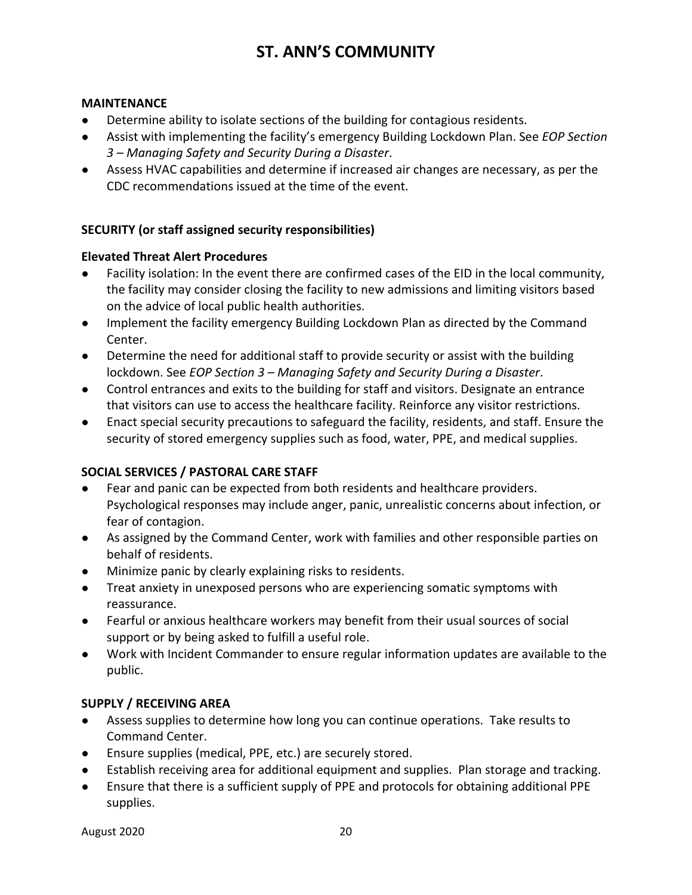#### **MAINTENANCE**

- Determine ability to isolate sections of the building for contagious residents.
- Assist with implementing the facility's emergency Building Lockdown Plan. See *EOP Section 3 – Managing Safety and Security During a Disaster*.
- Assess HVAC capabilities and determine if increased air changes are necessary, as per the CDC recommendations issued at the time of the event.

#### **SECURITY (or staff assigned security responsibilities)**

#### **Elevated Threat Alert Procedures**

- Facility isolation: In the event there are confirmed cases of the EID in the local community, the facility may consider closing the facility to new admissions and limiting visitors based on the advice of local public health authorities.
- Implement the facility emergency Building Lockdown Plan as directed by the Command Center.
- Determine the need for additional staff to provide security or assist with the building lockdown. See *EOP Section 3 – Managing Safety and Security During a Disaster*.
- Control entrances and exits to the building for staff and visitors. Designate an entrance that visitors can use to access the healthcare facility. Reinforce any visitor restrictions.
- Enact special security precautions to safeguard the facility, residents, and staff. Ensure the security of stored emergency supplies such as food, water, PPE, and medical supplies.

#### **SOCIAL SERVICES / PASTORAL CARE STAFF**

- Fear and panic can be expected from both residents and healthcare providers. Psychological responses may include anger, panic, unrealistic concerns about infection, or fear of contagion.
- As assigned by the Command Center, work with families and other responsible parties on behalf of residents.
- Minimize panic by clearly explaining risks to residents.
- Treat anxiety in unexposed persons who are experiencing somatic symptoms with reassurance.
- Fearful or anxious healthcare workers may benefit from their usual sources of social support or by being asked to fulfill a useful role.
- Work with Incident Commander to ensure regular information updates are available to the public.

#### **SUPPLY / RECEIVING AREA**

- Assess supplies to determine how long you can continue operations. Take results to Command Center.
- Ensure supplies (medical, PPE, etc.) are securely stored.
- Establish receiving area for additional equipment and supplies. Plan storage and tracking.
- Ensure that there is a sufficient supply of PPE and protocols for obtaining additional PPE supplies.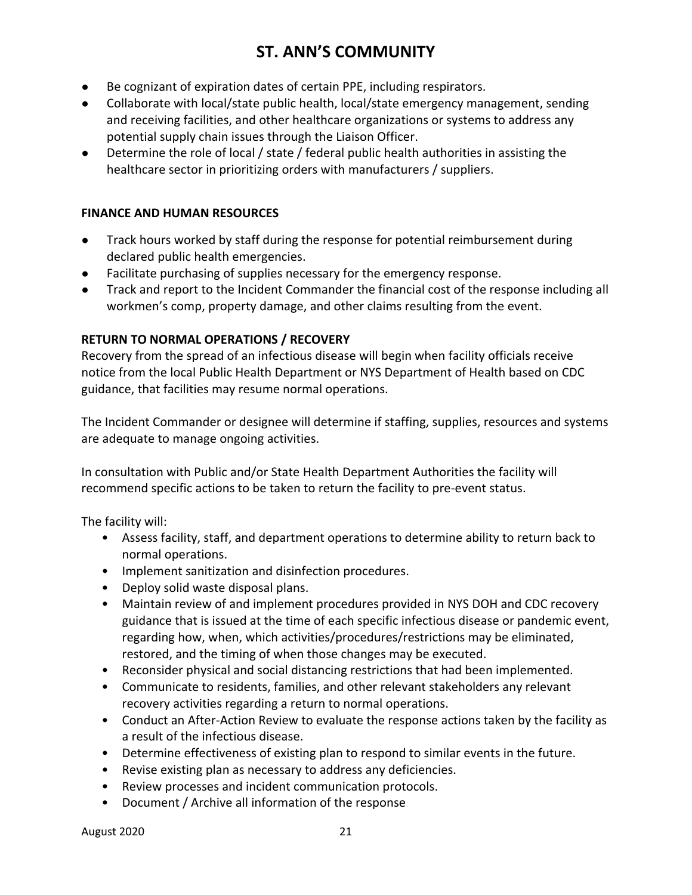- Be cognizant of expiration dates of certain PPE, including respirators.
- Collaborate with local/state public health, local/state emergency management, sending and receiving facilities, and other healthcare organizations or systems to address any potential supply chain issues through the Liaison Officer.
- Determine the role of local / state / federal public health authorities in assisting the healthcare sector in prioritizing orders with manufacturers / suppliers.

#### **FINANCE AND HUMAN RESOURCES**

- Track hours worked by staff during the response for potential reimbursement during declared public health emergencies.
- Facilitate purchasing of supplies necessary for the emergency response.
- Track and report to the Incident Commander the financial cost of the response including all workmen's comp, property damage, and other claims resulting from the event.

#### **RETURN TO NORMAL OPERATIONS / RECOVERY**

Recovery from the spread of an infectious disease will begin when facility officials receive notice from the local Public Health Department or NYS Department of Health based on CDC guidance, that facilities may resume normal operations.

The Incident Commander or designee will determine if staffing, supplies, resources and systems are adequate to manage ongoing activities.

In consultation with Public and/or State Health Department Authorities the facility will recommend specific actions to be taken to return the facility to pre-event status.

The facility will:

- Assess facility, staff, and department operations to determine ability to return back to normal operations.
- Implement sanitization and disinfection procedures.
- Deploy solid waste disposal plans.
- Maintain review of and implement procedures provided in NYS DOH and CDC recovery guidance that is issued at the time of each specific infectious disease or pandemic event, regarding how, when, which activities/procedures/restrictions may be eliminated, restored, and the timing of when those changes may be executed.
- Reconsider physical and social distancing restrictions that had been implemented.
- Communicate to residents, families, and other relevant stakeholders any relevant recovery activities regarding a return to normal operations.
- Conduct an After-Action Review to evaluate the response actions taken by the facility as a result of the infectious disease.
- Determine effectiveness of existing plan to respond to similar events in the future.
- Revise existing plan as necessary to address any deficiencies.
- Review processes and incident communication protocols.
- Document / Archive all information of the response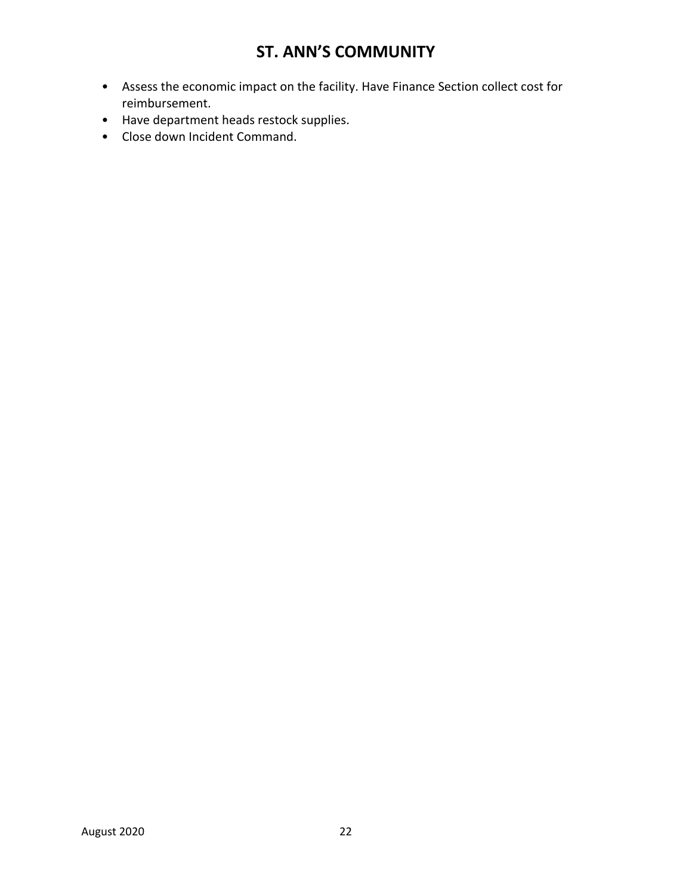- Assess the economic impact on the facility. Have Finance Section collect cost for reimbursement.
- Have department heads restock supplies.
- Close down Incident Command.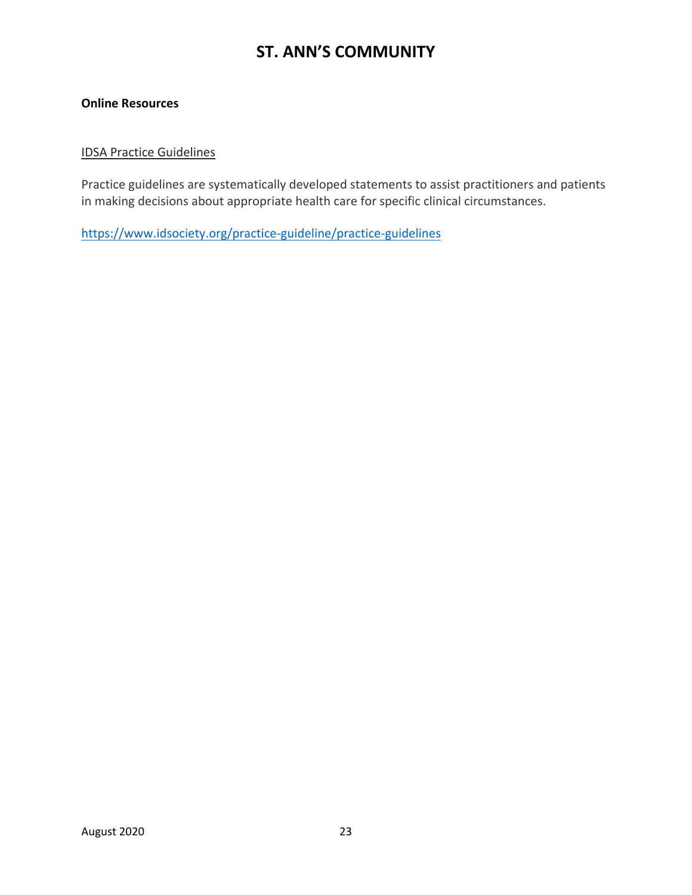#### **Online Resources**

#### IDSA Practice Guidelines

Practice guidelines are systematically developed statements to assist practitioners and patients in making decisions about appropriate health care for specific clinical circumstances.

<https://www.idsociety.org/practice-guideline/practice-guidelines>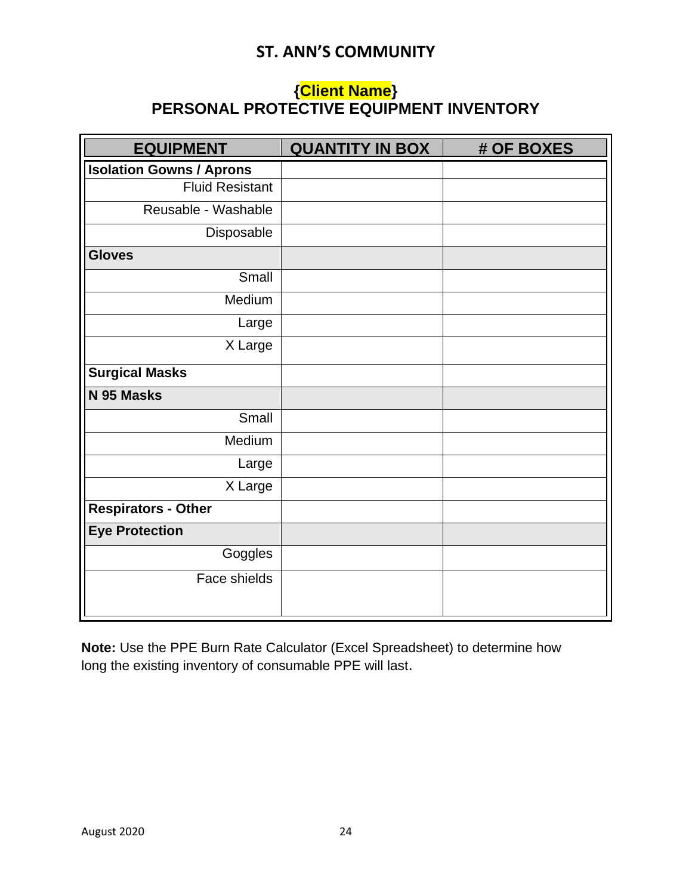## **{Client Name} PERSONAL PROTECTIVE EQUIPMENT INVENTORY**

| <b>EQUIPMENT</b>                | <b>QUANTITY IN BOX</b> | # OF BOXES |
|---------------------------------|------------------------|------------|
| <b>Isolation Gowns / Aprons</b> |                        |            |
| <b>Fluid Resistant</b>          |                        |            |
| Reusable - Washable             |                        |            |
| Disposable                      |                        |            |
| <b>Gloves</b>                   |                        |            |
| Small                           |                        |            |
| Medium                          |                        |            |
| Large                           |                        |            |
| X Large                         |                        |            |
| <b>Surgical Masks</b>           |                        |            |
| N 95 Masks                      |                        |            |
| Small                           |                        |            |
| Medium                          |                        |            |
| Large                           |                        |            |
| X Large                         |                        |            |
| <b>Respirators - Other</b>      |                        |            |
| <b>Eye Protection</b>           |                        |            |
| Goggles                         |                        |            |
| Face shields                    |                        |            |

**Note:** Use the PPE Burn Rate Calculator (Excel Spreadsheet) to determine how long the existing inventory of consumable PPE will last.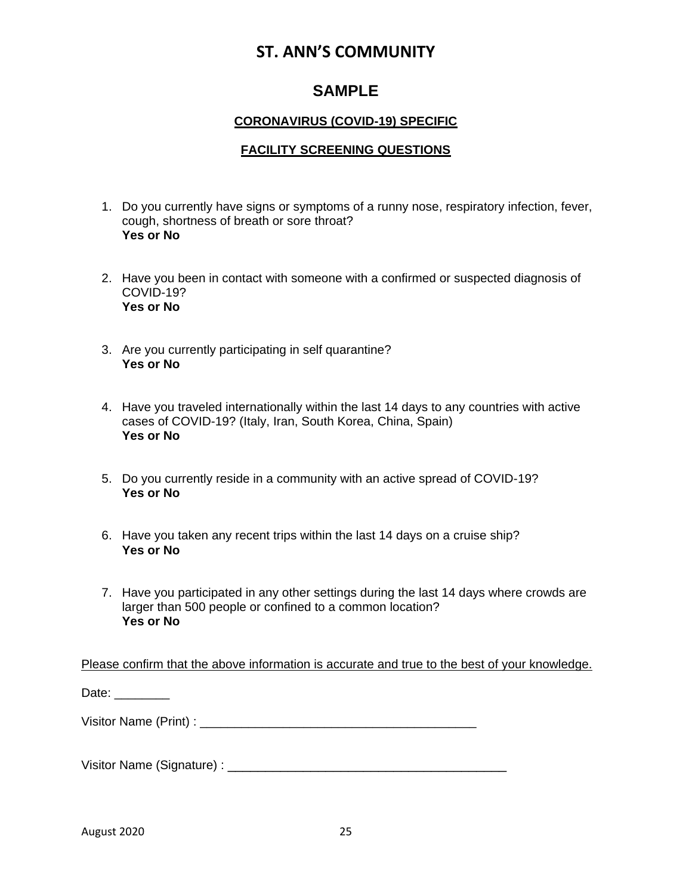### **SAMPLE**

### **CORONAVIRUS (COVID-19) SPECIFIC**

#### **FACILITY SCREENING QUESTIONS**

- 1. Do you currently have signs or symptoms of a runny nose, respiratory infection, fever, cough, shortness of breath or sore throat? **Yes or No**
- 2. Have you been in contact with someone with a confirmed or suspected diagnosis of COVID-19? **Yes or No**
- 3. Are you currently participating in self quarantine? **Yes or No**
- 4. Have you traveled internationally within the last 14 days to any countries with active cases of COVID-19? (Italy, Iran, South Korea, China, Spain) **Yes or No**
- 5. Do you currently reside in a community with an active spread of COVID-19? **Yes or No**
- 6. Have you taken any recent trips within the last 14 days on a cruise ship? **Yes or No**
- 7. Have you participated in any other settings during the last 14 days where crowds are larger than 500 people or confined to a common location? **Yes or No**

Please confirm that the above information is accurate and true to the best of your knowledge.

Date: \_\_\_\_\_\_\_\_\_

Visitor Name (Print) : \_\_\_\_\_\_\_\_\_\_\_\_\_\_\_\_\_\_\_\_\_\_\_\_\_\_\_\_\_\_\_\_\_\_\_\_\_\_\_\_

Visitor Name (Signature) : \_\_\_\_\_\_\_\_\_\_\_\_\_\_\_\_\_\_\_\_\_\_\_\_\_\_\_\_\_\_\_\_\_\_\_\_\_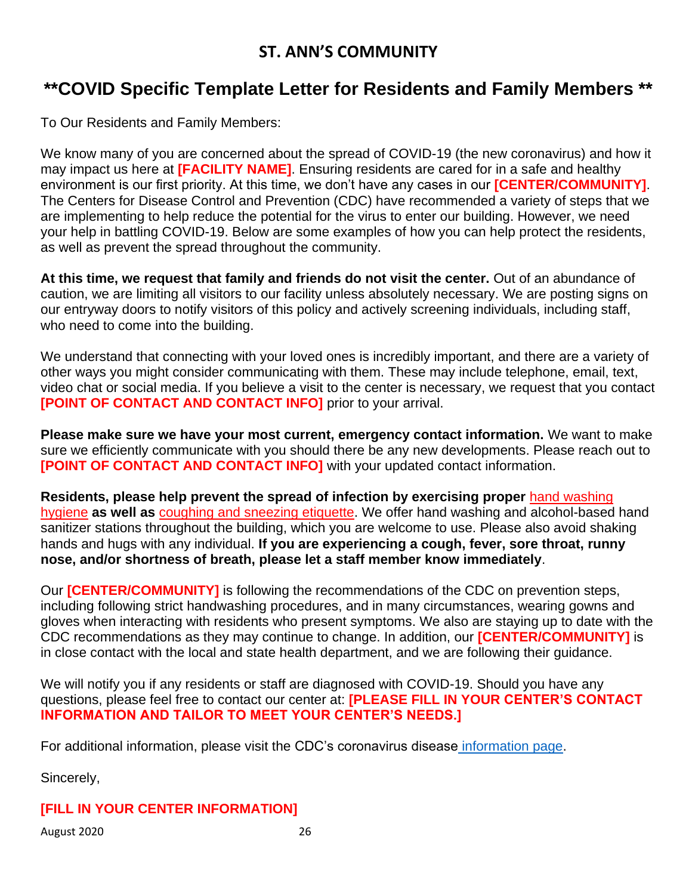## **\*\*COVID Specific Template Letter for Residents and Family Members \*\***

To Our Residents and Family Members:

We know many of you are concerned about the spread of COVID-19 (the new coronavirus) and how it may impact us here at **[FACILITY NAME]**. Ensuring residents are cared for in a safe and healthy environment is our first priority. At this time, we don't have any cases in our **[CENTER/COMMUNITY]**. The Centers for Disease Control and Prevention (CDC) have recommended a variety of steps that we are implementing to help reduce the potential for the virus to enter our building. However, we need your help in battling COVID-19. Below are some examples of how you can help protect the residents, as well as prevent the spread throughout the community.

**At this time, we request that family and friends do not visit the center.** Out of an abundance of caution, we are limiting all visitors to our facility unless absolutely necessary. We are posting signs on our entryway doors to notify visitors of this policy and actively screening individuals, including staff, who need to come into the building.

We understand that connecting with your loved ones is incredibly important, and there are a variety of other ways you might consider communicating with them. These may include telephone, email, text, video chat or social media. If you believe a visit to the center is necessary, we request that you contact **[POINT OF CONTACT AND CONTACT INFO]** prior to your arrival.

**Please make sure we have your most current, emergency contact information.** We want to make sure we efficiently communicate with you should there be any new developments. Please reach out to **[POINT OF CONTACT AND CONTACT INFO]** with your updated contact information.

**Residents, please help prevent the spread of infection by exercising proper** [hand washing](https://www.cdc.gov/healthywater/hygiene/hand/handwashing.html)  [hygiene](https://www.cdc.gov/healthywater/hygiene/hand/handwashing.html) **as well as** [coughing and sneezing etiquette.](https://www.cdc.gov/healthywater/hygiene/etiquette/coughing_sneezing.html) We offer hand washing and alcohol-based hand sanitizer stations throughout the building, which you are welcome to use. Please also avoid shaking hands and hugs with any individual. **If you are experiencing a cough, fever, sore throat, runny nose, and/or shortness of breath, please let a staff member know immediately**.

Our **[CENTER/COMMUNITY]** is following the recommendations of the CDC on prevention steps, including following strict handwashing procedures, and in many circumstances, wearing gowns and gloves when interacting with residents who present symptoms. We also are staying up to date with the CDC recommendations as they may continue to change. In addition, our **[CENTER/COMMUNITY]** is in close contact with the local and state health department, and we are following their guidance.

We will notify you if any residents or staff are diagnosed with COVID-19. Should you have any questions, please feel free to contact our center at: **[PLEASE FILL IN YOUR CENTER'S CONTACT INFORMATION AND TAILOR TO MEET YOUR CENTER'S NEEDS.]**

For additional information, please visit the [CDC's coronavirus disease](https://www.cdc.gov/coronavirus/2019-ncov/index.html) information page.

Sincerely,

### **[FILL IN YOUR CENTER INFORMATION]**

August 2020 26